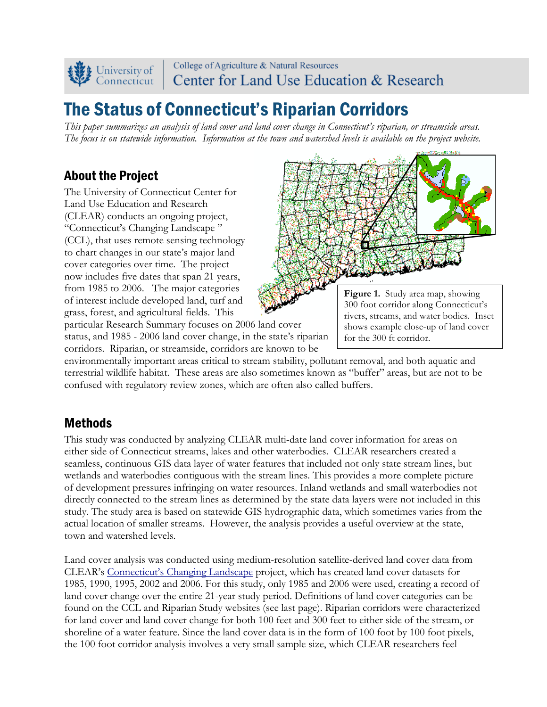

College of Agriculture & Natural Resources Center for Land Use Education & Research

# The Status of Connecticut's Riparian Corridors

*This paper summarizes an analysis of land cover and land cover change in Connecticut's riparian, or streamside areas. The focus is on statewide information. Information at the town and watershed levels is available on the project website.*

## About the Project

The University of Connecticut Center for Land Use Education and Research (CLEAR) conducts an ongoing project, "Connecticut's Changing Landscape " (CCL), that uses remote sensing technology to chart changes in our state's major land cover categories over time. The project now includes five dates that span 21 years, from 1985 to 2006. The major categories of interest include developed land, turf and grass, forest, and agricultural fields. This



**Figure 1.** Study area map, showing 300 foot corridor along Connecticut's rivers, streams, and water bodies. Inset shows example close-up of land cover for the 300 ft corridor.

particular Research Summary focuses on 2006 land cover status, and 1985 - 2006 land cover change, in the state's riparian corridors. Riparian, or streamside, corridors are known to be

environmentally important areas critical to stream stability, pollutant removal, and both aquatic and terrestrial wildlife habitat. These areas are also sometimes known as "buffer" areas, but are not to be confused with regulatory review zones, which are often also called buffers.

## Methods

This study was conducted by analyzing CLEAR multi-date land cover information for areas on either side of Connecticut streams, lakes and other waterbodies. CLEAR researchers created a seamless, continuous GIS data layer of water features that included not only state stream lines, but wetlands and waterbodies contiguous with the stream lines. This provides a more complete picture of development pressures infringing on water resources. Inland wetlands and small waterbodies not directly connected to the stream lines as determined by the state data layers were not included in this study. The study area is based on statewide GIS hydrographic data, which sometimes varies from the actual location of smaller streams. However, the analysis provides a useful overview at the state, town and watershed levels.

Land cover analysis was conducted using medium-resolution satellite-derived land cover data from CLEAR's Connecticut's Changing Landscape project, which has created land cover datasets for 1985, 1990, 1995, 2002 and 2006. For this study, only 1985 and 2006 were used, creating a record of land cover change over the entire 21-year study period. Definitions of land cover categories can be found on the CCL and Riparian Study websites (see last page). Riparian corridors were characterized for land cover and land cover change for both 100 feet and 300 feet to either side of the stream, or shoreline of a water feature. Since the land cover data is in the form of 100 foot by 100 foot pixels, the 100 foot corridor analysis involves a very small sample size, which CLEAR researchers feel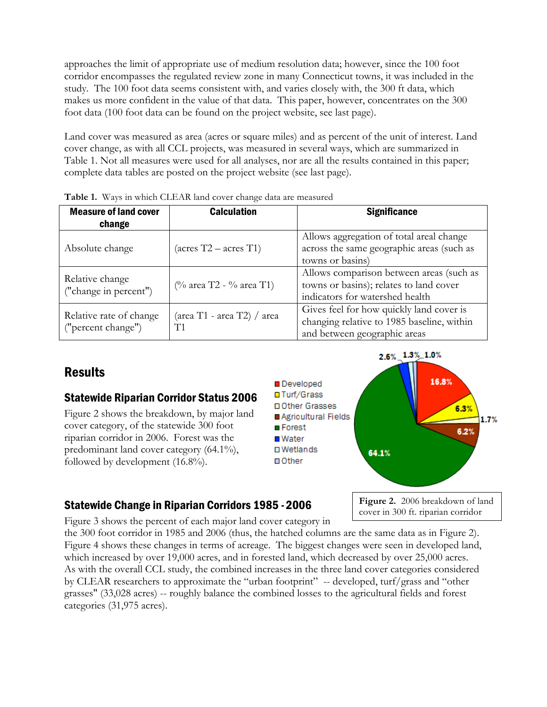approaches the limit of appropriate use of medium resolution data; however, since the 100 foot corridor encompasses the regulated review zone in many Connecticut towns, it was included in the study. The 100 foot data seems consistent with, and varies closely with, the 300 ft data, which makes us more confident in the value of that data. This paper, however, concentrates on the 300 foot data (100 foot data can be found on the project website, see last page).

Land cover was measured as area (acres or square miles) and as percent of the unit of interest. Land cover change, as with all CCL projects, was measured in several ways, which are summarized in Table 1. Not all measures were used for all analyses, nor are all the results contained in this paper; complete data tables are posted on the project website (see last page).

| <b>Measure of land cover</b><br>change        | <b>Calculation</b>               | <b>Significance</b>                                                                                                    |  |
|-----------------------------------------------|----------------------------------|------------------------------------------------------------------------------------------------------------------------|--|
| Absolute change                               | $(\arccos T2 - \arccos T1)$      | Allows aggregation of total areal change<br>across the same geographic areas (such as<br>towns or basins)              |  |
| Relative change<br>("change in percent")      | (% area T2 - % area T1)          | Allows comparison between areas (such as<br>towns or basins); relates to land cover<br>indicators for watershed health |  |
| Relative rate of change<br>("percent change") | (area T1 - area T2) / area<br>T1 | Gives feel for how quickly land cover is<br>changing relative to 1985 baseline, within<br>and between geographic areas |  |

**Table 1.** Ways in which CLEAR land cover change data are measured

# **Results**

#### Statewide Riparian Corridor Status 2006

Figure 2 shows the breakdown, by major land cover category, of the statewide 300 foot riparian corridor in 2006. Forest was the predominant land cover category (64.1%), followed by development (16.8%).



#### Statewide Change in Riparian Corridors 1985 -2006

**Figure 2.** 2006 breakdown of land cover in 300 ft. riparian corridor

Figure 3 shows the percent of each major land cover category in

the 300 foot corridor in 1985 and 2006 (thus, the hatched columns are the same data as in Figure 2). Figure 4 shows these changes in terms of acreage. The biggest changes were seen in developed land, which increased by over 19,000 acres, and in forested land, which decreased by over 25,000 acres. As with the overall CCL study, the combined increases in the three land cover categories considered by CLEAR researchers to approximate the "urban footprint" -- developed, turf/grass and "other grasses" (33,028 acres) -- roughly balance the combined losses to the agricultural fields and forest categories (31,975 acres).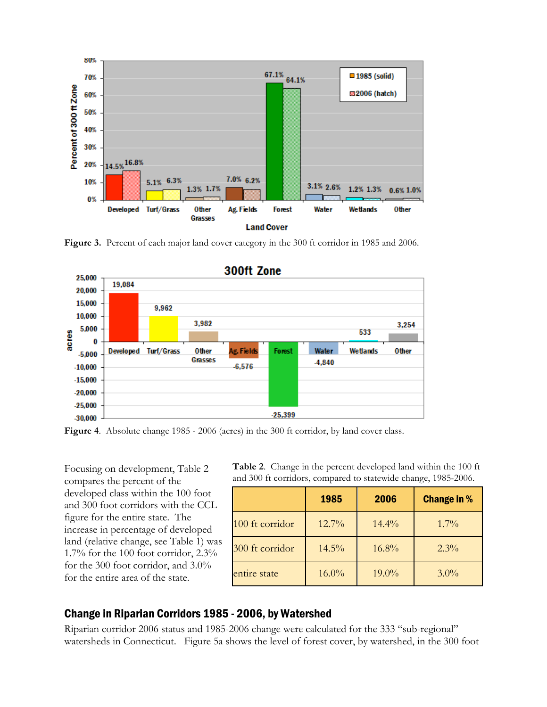

**Figure 3.** Percent of each major land cover category in the 300 ft corridor in 1985 and 2006.



**Figure 4**. Absolute change 1985 - 2006 (acres) in the 300 ft corridor, by land cover class.

Focusing on development, Table 2 compares the percent of the developed class within the 100 foot and 300 foot corridors with the CCL figure for the entire state. The increase in percentage of developed land (relative change, see Table 1) was 1.7% for the 100 foot corridor, 2.3% for the 300 foot corridor, and 3.0% for the entire area of the state.

**Table 2**. Change in the percent developed land within the 100 ft and 300 ft corridors, compared to statewide change, 1985-2006.

|                 | 1985     | 2006     | <b>Change in %</b> |
|-----------------|----------|----------|--------------------|
| 100 ft corridor | 12.7%    | $14.4\%$ | $1.7\%$            |
| 300 ft corridor | 14.5%    | 16.8%    | $2.3\%$            |
| entire state    | $16.0\%$ | 19.0%    | $3.0\%$            |

#### Change in Riparian Corridors 1985 - 2006, by Watershed

Riparian corridor 2006 status and 1985-2006 change were calculated for the 333 "sub-regional" watersheds in Connecticut. Figure 5a shows the level of forest cover, by watershed, in the 300 foot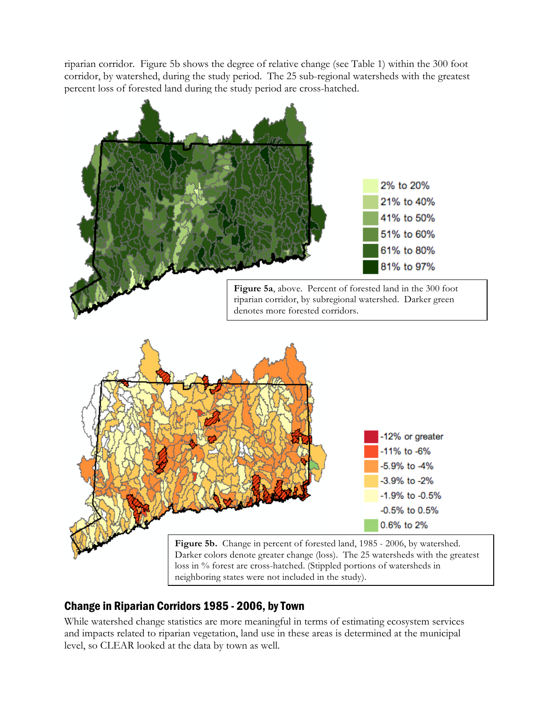riparian corridor. Figure 5b shows the degree of relative change (see Table 1) within the 300 foot corridor, by watershed, during the study period. The 25 sub-regional watersheds with the greatest percent loss of forested land during the study period are cross-hatched.



### Change in Riparian Corridors 1985 - 2006, by Town

While watershed change statistics are more meaningful in terms of estimating ecosystem services and impacts related to riparian vegetation, land use in these areas is determined at the municipal level, so CLEAR looked at the data by town as well.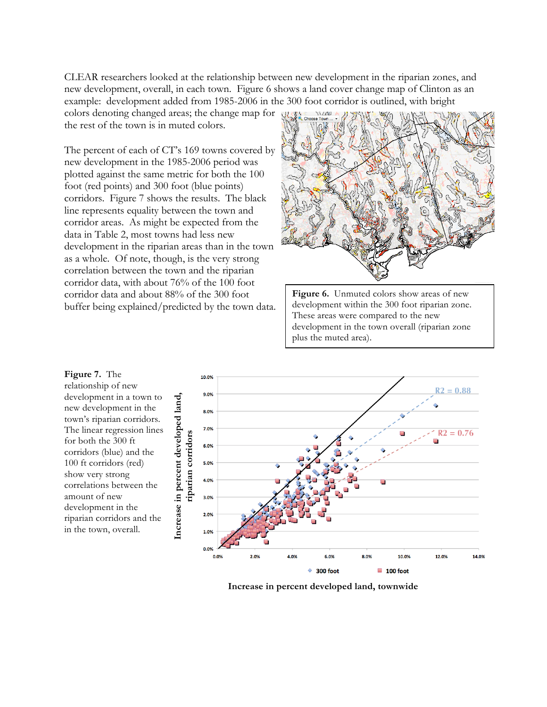CLEAR researchers looked at the relationship between new development in the riparian zones, and new development, overall, in each town. Figure 6 shows a land cover change map of Clinton as an example: development added from 1985-2006 in the 300 foot corridor is outlined, with bright

colors denoting changed areas; the change map for the rest of the town is in muted colors.

The percent of each of CT's 169 towns covered by new development in the 1985-2006 period was plotted against the same metric for both the 100 foot (red points) and 300 foot (blue points) corridors. Figure 7 shows the results. The black line represents equality between the town and corridor areas. As might be expected from the data in Table 2, most towns had less new development in the riparian areas than in the town as a whole. Of note, though, is the very strong correlation between the town and the riparian corridor data, with about 76% of the 100 foot corridor data and about 88% of the 300 foot buffer being explained/predicted by the town data.



**Figure 6.** Unmuted colors show areas of new development within the 300 foot riparian zone. These areas were compared to the new development in the town overall (riparian zone plus the muted area).



**Increase in percent developed land, townwide**